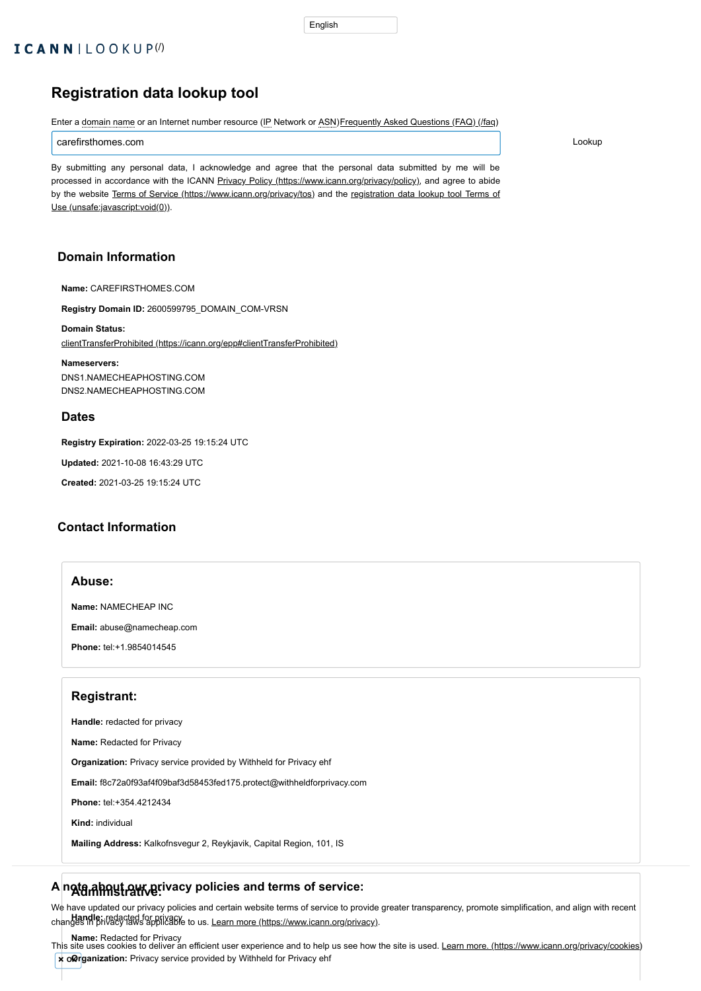# **Registration data lookup tool**

Enter a domain name or an Internet number resource (IP Network or ASN) [Frequently Asked Questions \(FAQ\) \(/faq\)](https://lookup.icann.org/faq)

carefirsthomes.com Lookup

By submitting any personal data, I acknowledge and agree that the personal data submitted by me will be processed in accordance with the ICANN Privacy Policy [\(https://www.icann.org/privacy/policy\),](https://www.icann.org/privacy/policy) and agree to abide by the website Terms of Service [\(https://www.icann.org/privacy/tos\)](https://www.icann.org/privacy/tos) [and the registration data lookup tool Terms of](unsafe:javascript:void(0)) Use (unsafe:javascript:void(0)).

### **Domain Information**

**Name:** CAREFIRSTHOMES.COM

**Registry Domain ID:** 2600599795\_DOMAIN\_COM-VRSN

**Domain Status:** [clientTransferProhibited \(https://icann.org/epp#clientTransferProhibited\)](https://icann.org/epp#clientTransferProhibited)

**Name:** Redacted for Privacy **x** oRrganization: Privacy service provided by Withheld for Privacy ehf This site uses cookies to deliver an efficient user experience and to help us see how the site is used. <u>[Learn more. \(https://www.icann.org/privacy/cookies\)](https://www.icann.org/privacy/cookies)</u>

**Nameservers:** DNS1.NAMECHEAPHOSTING.COM DNS2.NAMECHEAPHOSTING.COM

#### **Dates**

**Registry Expiration:** 2022-03-25 19:15:24 UTC

**Updated:** 2021-10-08 16:43:29 UTC

**Created:** 2021-03-25 19:15:24 UTC

### **Contact Information**

#### **Abuse:**

**Name:** NAMECHEAP INC

**Email:** abuse@namecheap.com

**Phone:** tel:+1.9854014545

### **Registrant:**

**Handle:** redacted for privacy

**Name:** Redacted for Privacy

**Organization:** Privacy service provided by Withheld for Privacy ehf

**Email:** f8c72a0f93af4f09baf3d58453fed175.protect@withheldforprivacy.com

**Phone:** tel:+354.4212434

**Kind:** individual

**Mailing Address:** Kalkofnsvegur 2, Reykjavik, Capital Region, 101, IS

# **Administrative: A note about our privacy policies and terms of service:**

Landle: redacted for privacy<br>changes in privacy laws applicable to us. <u>Learn more (https://www.icann.org/privacy)</u>. We have updated our privacy policies and certain website terms of service to provide greater transparency, promote simplification, and align with recent

#### English

# $ICANNILOOKUP<sup>(1)</sup>$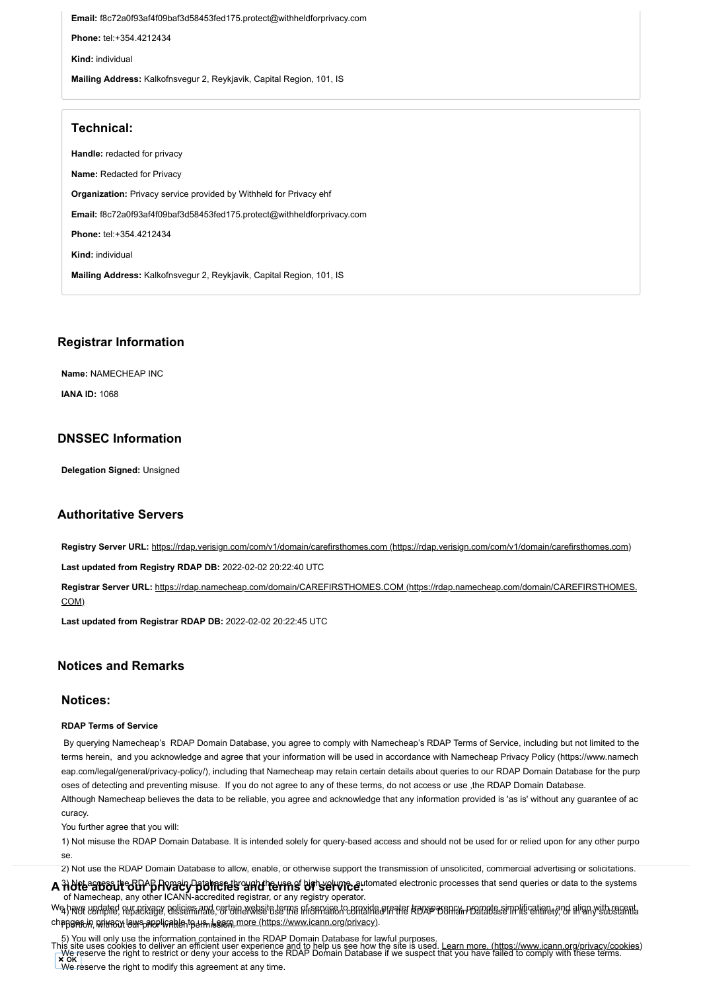**Email:** f8c72a0f93af4f09baf3d58453fed175.protect@withheldforprivacy.com **Phone:** tel:+354.4212434 **Kind:** individual **Mailing Address:** Kalkofnsvegur 2, Reykjavik, Capital Region, 101, IS

# **Technical:**

**Handle:** redacted for privacy **Name:** Redacted for Privacy **Organization:** Privacy service provided by Withheld for Privacy ehf **Email:** f8c72a0f93af4f09baf3d58453fed175.protect@withheldforprivacy.com **Phone:** tel:+354.4212434 **Kind:** individual **Mailing Address:** Kalkofnsvegur 2, Reykjavik, Capital Region, 101, IS

# **Registrar Information**

**Name:** NAMECHEAP INC

**IANA ID:** 1068

# **DNSSEC Information**

**Delegation Signed:** Unsigned

# **Authoritative Servers**

Registry Server URL: [https://rdap.verisign.com/com/v1/domain/carefirsthomes.com \(https://rdap.verisign.com/com/v1/domain/carefirsthomes.com\)](https://rdap.verisign.com/com/v1/domain/carefirsthomes.com)

**Last updated from Registry RDAP DB:** 2022-02-02 20:22:40 UTC

**Registrar Server URL:** [https://rdap.namecheap.com/domain/CAREFIRSTHOMES.COM \(https://rdap.namecheap.com/domain/CAREFIRSTHOMES.](https://rdap.namecheap.com/domain/CAREFIRSTHOMES.COM) COM)

**Last updated from Registrar RDAP DB:** 2022-02-02 20:22:45 UTC

# **Notices and Remarks**

### **Notices:**

#### **RDAP Terms of Service**

By querying Namecheap's RDAP Domain Database, you agree to comply with Namecheap's RDAP Terms of Service, including but not limited to the

terms herein, and you acknowledge and agree that your information will be used in accordance with Namecheap Privacy Policy (https://www.namech eap.com/legal/general/privacy-policy/), including that Namecheap may retain certain details about queries to our RDAP Domain Database for the purp oses of detecting and preventing misuse. If you do not agree to any of these terms, do not access or use ,the RDAP Domain Database. Although Namecheap believes the data to be reliable, you agree and acknowledge that any information provided is 'as is' without any guarantee of ac curacy.

We reserve the right to restrict or deny your access to the RDAP Domain Database if we suspect that you have failed to comply with these terms. This site uses cookies to deliver an efficient user experience and to help us see how the site is used. [Learn more. \(https://www.icann.org/privacy/cookies\)](https://www.icann.org/privacy/cookies) **OK**

We reserve the right to modify this agreement at any time.

You further agree that you will:

1) Not misuse the RDAP Domain Database. It is intended solely for query-based access and should not be used for or relied upon for any other purpo

se.

2) Not use the RDAP Domain Database to allow, enable, or otherwise support the transmission of unsolicited, commercial advertising or solicitations.

A HOfte<sup>a</sup> affort the GUP providing the televation of the televation and electronic processes that send queries or data to the systems

of Namecheap, any other ICANN-accredited registrar, or any registry operator.

Wa havf undated pur arivage, nelicies and certain website terms pframylie ho convide of material and some model semplification of align with seamta chapge<sub>fio</sub>in, ଭାଁଧ୍ୟପୋଧ (aws<sub>p</sub>applicable<sub>n</sub>tgels, issue more (https://www.icann.org/privacy).

5) You will only use the information contained in the RDAP Domain Database for lawful purposes.